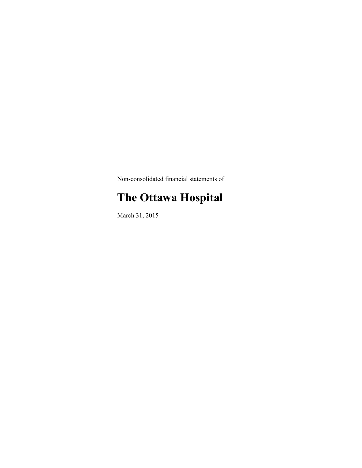Non-consolidated financial statements of

# **The Ottawa Hospital**

March 31, 2015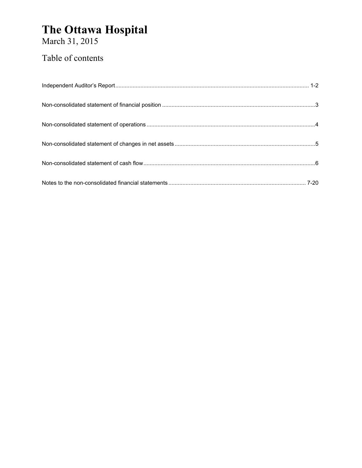March 31, 2015

### Table of contents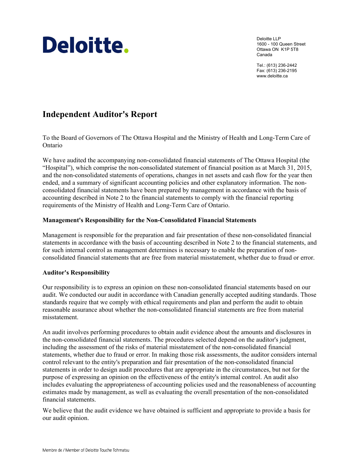# Deloitte.

Deloitte LLP 1600 - 100 Queen Street Ottawa ON K1P 5T8 Canada

Tel.: (613) 236-2442 Fax: (613) 236-2195 www.deloitte.ca

### **Independent Auditor's Report**

To the Board of Governors of The Ottawa Hospital and the Ministry of Health and Long-Term Care of Ontario

We have audited the accompanying non-consolidated financial statements of The Ottawa Hospital (the "Hospital"), which comprise the non-consolidated statement of financial position as at March 31, 2015, and the non-consolidated statements of operations, changes in net assets and cash flow for the year then ended, and a summary of significant accounting policies and other explanatory information. The nonconsolidated financial statements have been prepared by management in accordance with the basis of accounting described in Note 2 to the financial statements to comply with the financial reporting requirements of the Ministry of Health and Long-Term Care of Ontario.

#### **Management's Responsibility for the Non-Consolidated Financial Statements**

Management is responsible for the preparation and fair presentation of these non-consolidated financial statements in accordance with the basis of accounting described in Note 2 to the financial statements, and for such internal control as management determines is necessary to enable the preparation of nonconsolidated financial statements that are free from material misstatement, whether due to fraud or error.

#### **Auditor's Responsibility**

Our responsibility is to express an opinion on these non-consolidated financial statements based on our audit. We conducted our audit in accordance with Canadian generally accepted auditing standards. Those standards require that we comply with ethical requirements and plan and perform the audit to obtain reasonable assurance about whether the non-consolidated financial statements are free from material misstatement.

An audit involves performing procedures to obtain audit evidence about the amounts and disclosures in the non-consolidated financial statements. The procedures selected depend on the auditor's judgment, including the assessment of the risks of material misstatement of the non-consolidated financial statements, whether due to fraud or error. In making those risk assessments, the auditor considers internal control relevant to the entity's preparation and fair presentation of the non-consolidated financial statements in order to design audit procedures that are appropriate in the circumstances, but not for the purpose of expressing an opinion on the effectiveness of the entity's internal control. An audit also includes evaluating the appropriateness of accounting policies used and the reasonableness of accounting estimates made by management, as well as evaluating the overall presentation of the non-consolidated financial statements.

We believe that the audit evidence we have obtained is sufficient and appropriate to provide a basis for our audit opinion.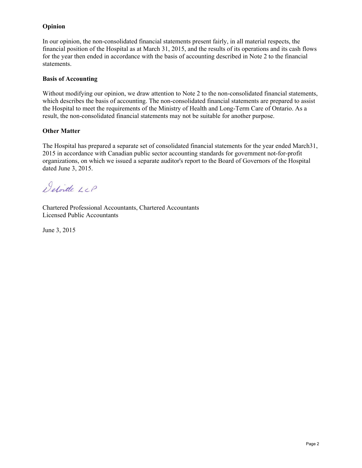#### **Opinion**

In our opinion, the non-consolidated financial statements present fairly, in all material respects, the financial position of the Hospital as at March 31, 2015, and the results of its operations and its cash flows for the year then ended in accordance with the basis of accounting described in Note 2 to the financial statements.

#### **Basis of Accounting**

Without modifying our opinion, we draw attention to Note 2 to the non-consolidated financial statements, which describes the basis of accounting. The non-consolidated financial statements are prepared to assist the Hospital to meet the requirements of the Ministry of Health and Long-Term Care of Ontario. As a result, the non-consolidated financial statements may not be suitable for another purpose.

#### **Other Matter**

The Hospital has prepared a separate set of consolidated financial statements for the year ended March31, 2015 in accordance with Canadian public sector accounting standards for government not-for-profit organizations, on which we issued a separate auditor's report to the Board of Governors of the Hospital dated June 3, 2015.

Detoitte LLP

Chartered Professional Accountants, Chartered Accountants Licensed Public Accountants

June 3, 2015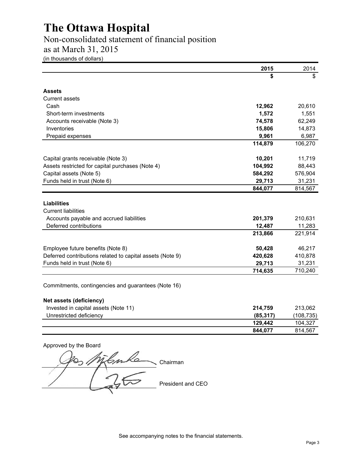Non-consolidated statement of financial position

as at March 31, 2015

(in thousands of dollars)

|                                                           | 2015      | 2014       |
|-----------------------------------------------------------|-----------|------------|
|                                                           | \$        | \$         |
| <b>Assets</b>                                             |           |            |
| <b>Current assets</b>                                     |           |            |
| Cash                                                      | 12,962    | 20,610     |
| Short-term investments                                    | 1,572     | 1,551      |
| Accounts receivable (Note 3)                              | 74,578    | 62,249     |
| Inventories                                               | 15,806    | 14,873     |
| Prepaid expenses                                          | 9,961     | 6,987      |
|                                                           | 114,879   | 106,270    |
| Capital grants receivable (Note 3)                        | 10,201    | 11,719     |
| Assets restricted for capital purchases (Note 4)          | 104,992   | 88,443     |
| Capital assets (Note 5)                                   | 584,292   | 576,904    |
| Funds held in trust (Note 6)                              | 29,713    | 31,231     |
|                                                           | 844,077   | 814,567    |
|                                                           |           |            |
| <b>Liabilities</b><br><b>Current liabilities</b>          |           |            |
| Accounts payable and accrued liabilities                  | 201,379   | 210,631    |
| Deferred contributions                                    | 12,487    | 11,283     |
|                                                           | 213,866   | 221,914    |
|                                                           |           |            |
| Employee future benefits (Note 8)                         | 50,428    | 46,217     |
| Deferred contributions related to capital assets (Note 9) | 420,628   | 410,878    |
| Funds held in trust (Note 6)                              | 29,713    | 31,231     |
|                                                           | 714,635   | 710,240    |
|                                                           |           |            |
| Commitments, contingencies and guarantees (Note 16)       |           |            |
| Net assets (deficiency)                                   |           |            |
| Invested in capital assets (Note 11)                      | 214,759   | 213,062    |
| Unrestricted deficiency                                   | (85, 317) | (108, 735) |
|                                                           | 129,442   | 104,327    |
|                                                           | 844,077   | 814,567    |

Approved by the Board 00 Millenke Chairman President and CEO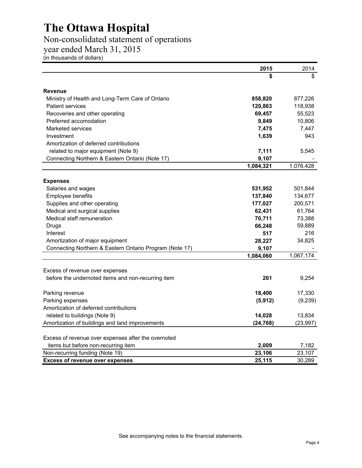### Non-consolidated statement of operations

year ended March 31, 2015

(in thousands of dollars)

|                                                         | 2015      | 2014      |
|---------------------------------------------------------|-----------|-----------|
|                                                         |           | \$        |
| <b>Revenue</b>                                          |           |           |
| Ministry of Health and Long-Term Care of Ontario        | 858,820   | 877,226   |
| <b>Patient services</b>                                 | 120,863   | 118,938   |
| Recoveries and other operating                          | 69,457    | 55,523    |
| Preferred accomodation                                  | 9,849     | 10,806    |
| <b>Marketed services</b>                                | 7,475     | 7,447     |
| Investment                                              | 1,639     | 943       |
| Amortization of deferred contributions                  |           |           |
| related to major equipment (Note 9)                     | 7,111     | 5,545     |
| Connecting Northern & Eastern Ontario (Note 17)         | 9,107     |           |
|                                                         | 1,084,321 | 1,076,428 |
| <b>Expenses</b>                                         |           |           |
| Salaries and wages                                      | 531,952   | 501,844   |
| Employee benefits                                       | 137,840   | 134,677   |
| Supplies and other operating                            | 177,027   | 200,571   |
| Medical and surgical supplies                           | 62,431    | 61,764    |
| Medical staff remuneration                              | 70,711    | 73,388    |
| Drugs                                                   | 66,248    | 59,889    |
| Interest                                                | 517       | 216       |
| Amortization of major equipment                         | 28,227    | 34,825    |
| Connecting Northern & Eastern Ontario Program (Note 17) | 9,107     |           |
|                                                         | 1,084,060 | 1,067,174 |
| Excess of revenue over expenses                         |           |           |
| before the undernoted items and non-recurring item      | 261       | 9,254     |
| Parking revenue                                         | 18,400    | 17,330    |
| Parking expenses                                        | (5, 912)  | (9, 239)  |
| Amortization of deferred contributions                  |           |           |
| related to buildings (Note 9)                           | 14,028    | 13,834    |
| Amortization of buildings and land improvements         | (24, 768) | (23, 997) |
| Excess of revenue over expenses after the overnoted     |           |           |
| items but before non-recurring item                     | 2,009     | 7,182     |
| Non-recurring funding (Note 19)                         | 23,106    | 23,107    |
| <b>Excess of revenue over expenses</b>                  | 25,115    | 30,289    |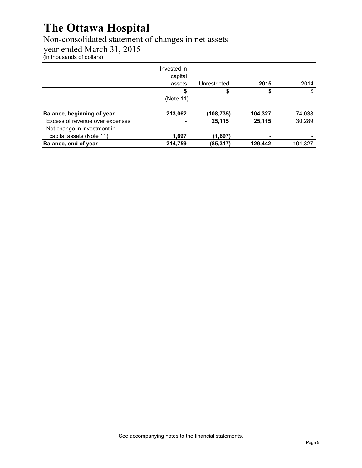### Non-consolidated statement of changes in net assets

year ended March 31, 2015

(in thousands of dollars)

|                                 | Invested in<br>capital<br>assets | Unrestricted | 2015    | 2014    |
|---------------------------------|----------------------------------|--------------|---------|---------|
|                                 | S                                | \$           | \$      | \$      |
|                                 | (Note 11)                        |              |         |         |
| Balance, beginning of year      | 213,062                          | (108, 735)   | 104,327 | 74,038  |
| Excess of revenue over expenses |                                  | 25,115       | 25,115  | 30,289  |
| Net change in investment in     |                                  |              |         |         |
| capital assets (Note 11)        | 1.697                            | (1,697)      |         |         |
| Balance, end of year            | 214,759                          | (85,317)     | 129,442 | 104.327 |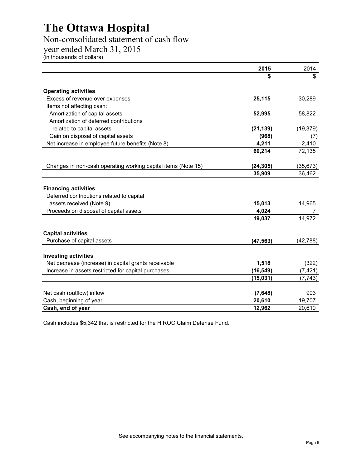### Non-consolidated statement of cash flow

year ended March 31, 2015

(in thousands of dollars)

|                                                                          | 2015      | 2014      |
|--------------------------------------------------------------------------|-----------|-----------|
|                                                                          |           |           |
| <b>Operating activities</b>                                              |           |           |
| Excess of revenue over expenses                                          | 25,115    | 30,289    |
| Items not affecting cash:                                                |           |           |
| Amortization of capital assets                                           | 52,995    | 58,822    |
| Amortization of deferred contributions                                   |           |           |
| related to capital assets                                                | (21, 139) | (19, 379) |
| Gain on disposal of capital assets                                       | (968)     | (7)       |
| Net increase in employee future benefits (Note 8)                        | 4,211     | 2,410     |
|                                                                          | 60,214    | 72,135    |
| Changes in non-cash operating working capital items (Note 15)            | (24, 305) | (35, 673) |
|                                                                          | 35,909    | 36,462    |
| <b>Financing activities</b><br>Deferred contributions related to capital |           |           |
| assets received (Note 9)                                                 | 15,013    | 14,965    |
| Proceeds on disposal of capital assets                                   | 4,024     | 7         |
|                                                                          | 19,037    | 14,972    |
| <b>Capital activities</b>                                                |           |           |
| Purchase of capital assets                                               | (47, 563) | (42, 788) |
| <b>Investing activities</b>                                              |           |           |
| Net decrease (increase) in capital grants receivable                     | 1,518     | (322)     |
| Increase in assets restricted for capital purchases                      | (16, 549) | (7, 421)  |
|                                                                          | (15, 031) | (7, 743)  |
| Net cash (outflow) inflow                                                | (7,648)   | 903       |
| Cash, beginning of year                                                  | 20,610    | 19,707    |
| Cash, end of year                                                        | 12,962    | 20,610    |

Cash includes \$5,342 that is restricted for the HIROC Claim Defense Fund.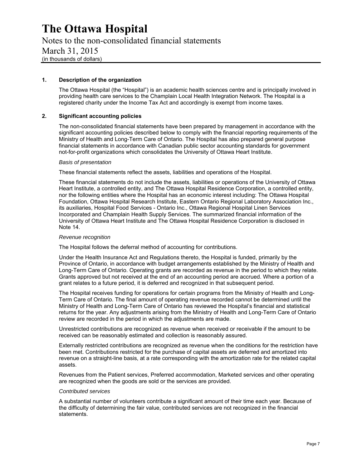Notes to the non-consolidated financial statements March 31, 2015 (in thousands of dollars)

#### **1. Description of the organization**

The Ottawa Hospital (the "Hospital") is an academic health sciences centre and is principally involved in providing health care services to the Champlain Local Health Integration Network. The Hospital is a registered charity under the Income Tax Act and accordingly is exempt from income taxes.

#### **2. Significant accounting policies**

The non-consolidated financial statements have been prepared by management in accordance with the significant accounting policies described below to comply with the financial reporting requirements of the Ministry of Health and Long-Term Care of Ontario. The Hospital has also prepared general purpose financial statements in accordance with Canadian public sector accounting standards for government not-for-profit organizations which consolidates the University of Ottawa Heart Institute.

#### *Basis of presentation*

These financial statements reflect the assets, liabilities and operations of the Hospital.

These financial statements do not include the assets, liabilities or operations of the University of Ottawa Heart Institute, a controlled entity, and The Ottawa Hospital Residence Corporation, a controlled entity, nor the following entities where the Hospital has an economic interest including: The Ottawa Hospital Foundation, Ottawa Hospital Research Institute, Eastern Ontario Regional Laboratory Association Inc., its auxiliaries, Hospital Food Services - Ontario Inc., Ottawa Regional Hospital Linen Services Incorporated and Champlain Health Supply Services. The summarized financial information of the University of Ottawa Heart Institute and The Ottawa Hospital Residence Corporation is disclosed in Note 14.

#### *Revenue recognition*

The Hospital follows the deferral method of accounting for contributions.

Under the Health Insurance Act and Regulations thereto, the Hospital is funded, primarily by the Province of Ontario, in accordance with budget arrangements established by the Ministry of Health and Long-Term Care of Ontario. Operating grants are recorded as revenue in the period to which they relate. Grants approved but not received at the end of an accounting period are accrued. Where a portion of a grant relates to a future period, it is deferred and recognized in that subsequent period.

The Hospital receives funding for operations for certain programs from the Ministry of Health and Long-Term Care of Ontario. The final amount of operating revenue recorded cannot be determined until the Ministry of Health and Long-Term Care of Ontario has reviewed the Hospital's financial and statistical returns for the year. Any adjustments arising from the Ministry of Health and Long-Term Care of Ontario review are recorded in the period in which the adjustments are made.

Unrestricted contributions are recognized as revenue when received or receivable if the amount to be received can be reasonably estimated and collection is reasonably assured.

Externally restricted contributions are recognized as revenue when the conditions for the restriction have been met. Contributions restricted for the purchase of capital assets are deferred and amortized into revenue on a straight-line basis, at a rate corresponding with the amortization rate for the related capital assets.

Revenues from the Patient services, Preferred accommodation, Marketed services and other operating are recognized when the goods are sold or the services are provided.

#### *Contributed services*

A substantial number of volunteers contribute a significant amount of their time each year. Because of the difficulty of determining the fair value, contributed services are not recognized in the financial statements.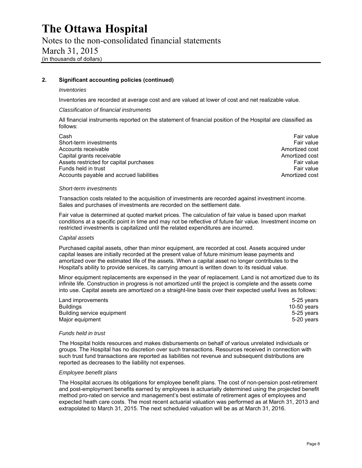Notes to the non-consolidated financial statements March 31, 2015 (in thousands of dollars)

#### **2. Significant accounting policies (continued)**

#### *Inventories*

Inventories are recorded at average cost and are valued at lower of cost and net realizable value.

#### *Classification of financial instruments*

All financial instruments reported on the statement of financial position of the Hospital are classified as follows:

Cash Fair value Short-term investments Fair value Fair value of the state of the state of the state of the state of the state of the state of the state of the state of the state of the state of the state of the state of the state of the s Accounts receivable **Amortized cost** Amortized cost Capital grants receivable Amortized cost and the Amortized cost and the Amortized cost Assets restricted for capital purchases Fair value Fair value Funds held in trust Fair value<br>Accounts payable and accrued liabilities **Fair value** Fair value<br>Amortized cost Accounts payable and accrued liabilities

#### *Short-term investments*

Transaction costs related to the acquisition of investments are recorded against investment income. Sales and purchases of investments are recorded on the settlement date.

Fair value is determined at quoted market prices. The calculation of fair value is based upon market conditions at a specific point in time and may not be reflective of future fair value. Investment income on restricted investments is capitalized until the related expenditures are incurred.

#### *Capital assets*

Purchased capital assets, other than minor equipment, are recorded at cost. Assets acquired under capital leases are initially recorded at the present value of future minimum lease payments and amortized over the estimated life of the assets. When a capital asset no longer contributes to the Hospital's ability to provide services, its carrying amount is written down to its residual value.

Minor equipment replacements are expensed in the year of replacement. Land is not amortized due to its infinite life. Construction in progress is not amortized until the project is complete and the assets come into use. Capital assets are amortized on a straight-line basis over their expected useful lives as follows:

| Land improvements          | 5-25 years    |
|----------------------------|---------------|
| <b>Buildings</b>           | 10-50 $years$ |
| Building service equipment | 5-25 vears    |
| Major equipment            | 5-20 years    |

#### *Funds held in trust*

The Hospital holds resources and makes disbursements on behalf of various unrelated individuals or groups. The Hospital has no discretion over such transactions. Resources received in connection with such trust fund transactions are reported as liabilities not revenue and subsequent distributions are reported as decreases to the liability not expenses.

#### *Employee benefit plans*

The Hospital accrues its obligations for employee benefit plans. The cost of non-pension post-retirement and post-employment benefits earned by employees is actuarially determined using the projected benefit method pro-rated on service and management's best estimate of retirement ages of employees and expected heath care costs. The most recent actuarial valuation was performed as at March 31, 2013 and extrapolated to March 31, 2015. The next scheduled valuation will be as at March 31, 2016.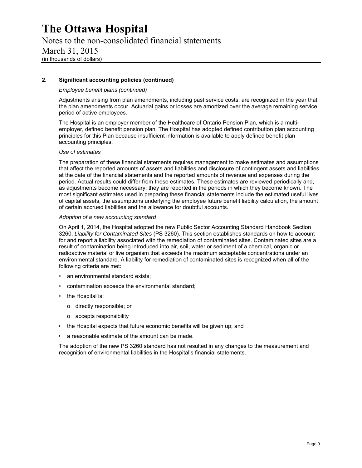### Notes to the non-consolidated financial statements March 31, 2015 (in thousands of dollars)

#### **2. Significant accounting policies (continued)**

#### *Employee benefit plans (continued)*

Adjustments arising from plan amendments, including past service costs, are recognized in the year that the plan amendments occur. Actuarial gains or losses are amortized over the average remaining service period of active employees.

The Hospital is an employer member of the Healthcare of Ontario Pension Plan, which is a multiemployer, defined benefit pension plan. The Hospital has adopted defined contribution plan accounting principles for this Plan because insufficient information is available to apply defined benefit plan accounting principles.

#### *Use of estimates*

The preparation of these financial statements requires management to make estimates and assumptions that affect the reported amounts of assets and liabilities and disclosure of contingent assets and liabilities at the date of the financial statements and the reported amounts of revenue and expenses during the period. Actual results could differ from these estimates. These estimates are reviewed periodically and, as adjustments become necessary, they are reported in the periods in which they become known. The most significant estimates used in preparing these financial statements include the estimated useful lives of capital assets, the assumptions underlying the employee future benefit liability calculation, the amount of certain accrued liabilities and the allowance for doubtful accounts.

#### *Adoption of a new accounting standard*

On April 1, 2014, the Hospital adopted the new Public Sector Accounting Standard Handbook Section 3260, *Liability for Contaminated Sites* (PS 3260). This section establishes standards on how to account for and report a liability associated with the remediation of contaminated sites. Contaminated sites are a result of contamination being introduced into air, soil, water or sediment of a chemical, organic or radioactive material or live organism that exceeds the maximum acceptable concentrations under an environmental standard. A liability for remediation of contaminated sites is recognized when all of the following criteria are met:

- an environmental standard exists;
- contamination exceeds the environmental standard;
- the Hospital is:
	- o directly responsible; or
	- o accepts responsibility
- the Hospital expects that future economic benefits will be given up; and
- a reasonable estimate of the amount can be made.

The adoption of the new PS 3260 standard has not resulted in any changes to the measurement and recognition of environmental liabilities in the Hospital's financial statements.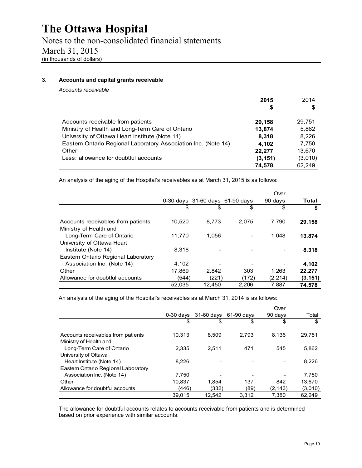Notes to the non-consolidated financial statements March 31, 2015 (in thousands of dollars)

#### **3. Accounts and capital grants receivable**

*Accounts receivable* 

|                                                                | 2015     | 2014    |
|----------------------------------------------------------------|----------|---------|
|                                                                | S        | \$      |
| Accounts receivable from patients                              | 29,158   | 29,751  |
| Ministry of Health and Long-Term Care of Ontario               | 13.874   | 5,862   |
| University of Ottawa Heart Institute (Note 14)                 | 8.318    | 8,226   |
| Eastern Ontario Regional Laboratory Association Inc. (Note 14) | 4.102    | 7,750   |
| Other                                                          | 22,277   | 13,670  |
| Less: allowance for doubtful accounts                          | (3, 151) | (3,010) |
|                                                                | 74.578   | 62.249  |

An analysis of the aging of the Hospital's receivables as at March 31, 2015 is as follows:

|                                                              |        |                                 |       | Over     |          |
|--------------------------------------------------------------|--------|---------------------------------|-------|----------|----------|
|                                                              |        | 0-30 days 31-60 days 61-90 days |       | 90 days  | Total    |
|                                                              | \$     | \$                              | \$    | \$       | S        |
| Accounts receivables from patients<br>Ministry of Health and | 10.520 | 8.773                           | 2.075 | 7,790    | 29,158   |
| Long-Term Care of Ontario<br>University of Ottawa Heart      | 11.770 | 1.056                           |       | 1.048    | 13,874   |
| Institute (Note 14)                                          | 8.318  |                                 |       |          | 8,318    |
| Eastern Ontario Regional Laboratory                          |        |                                 |       |          |          |
| Association Inc. (Note 14)                                   | 4.102  |                                 |       |          | 4,102    |
| Other                                                        | 17,869 | 2,842                           | 303   | 1,263    | 22,277   |
| Allowance for doubtful accounts                              | (544)  | (221)                           | (172) | (2, 214) | (3, 151) |
|                                                              | 52,035 | 12.450                          | 2.206 | 7,887    | 74.578   |

An analysis of the aging of the Hospital's receivables as at March 31, 2014 is as follows:

|                                                              |             |            |            | Over     |         |
|--------------------------------------------------------------|-------------|------------|------------|----------|---------|
|                                                              | $0-30$ days | 31-60 days | 61-90 days | 90 days  | Total   |
|                                                              | \$          | \$         | \$         | \$       | \$      |
| Accounts receivables from patients<br>Ministry of Health and | 10.313      | 8.509      | 2.793      | 8.136    | 29.751  |
| Long-Term Care of Ontario                                    | 2.335       | 2.511      | 471        | 545      | 5,862   |
| University of Ottawa                                         |             |            |            |          |         |
| Heart Institute (Note 14)                                    | 8.226       |            |            |          | 8,226   |
| Eastern Ontario Regional Laboratory                          |             |            |            |          |         |
| Association Inc. (Note 14)                                   | 7.750       |            |            |          | 7.750   |
| Other                                                        | 10.837      | 1.854      | 137        | 842      | 13.670  |
| Allowance for doubtful accounts                              | (446)       | (332)      | (89)       | (2, 143) | (3,010) |
|                                                              | 39.015      | 12.542     | 3.312      | 7.380    | 62.249  |

The allowance for doubtful accounts relates to accounts receivable from patients and is determined based on prior experience with similar accounts.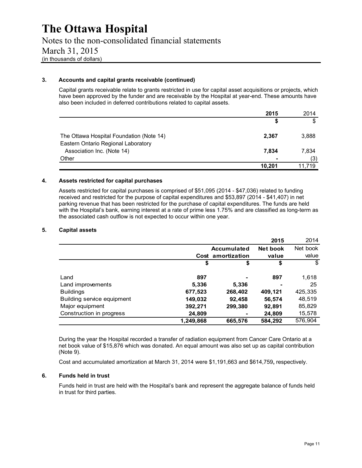#### **3. Accounts and capital grants receivable (continued)**

Capital grants receivable relate to grants restricted in use for capital asset acquisitions or projects, which have been approved by the funder and are receivable by the Hospital at year-end. These amounts have also been included in deferred contributions related to capital assets.

|                                                                   | 2015           | 2014   |
|-------------------------------------------------------------------|----------------|--------|
|                                                                   | S              | \$     |
| The Ottawa Hospital Foundation (Note 14)                          | 2,367          | 3,888  |
| Eastern Ontario Regional Laboratory<br>Association Inc. (Note 14) | 7.834          | 7,834  |
| Other                                                             | $\blacksquare$ | (3)    |
|                                                                   | 10.201         | 11.719 |

#### **4. Assets restricted for capital purchases**

Assets restricted for capital purchases is comprised of \$51,095 (2014 - \$47,036) related to funding received and restricted for the purpose of capital expenditures and \$53,897 (2014 - \$41,407) in net parking revenue that has been restricted for the purchase of capital expenditures. The funds are held with the Hospital's bank, earning interest at a rate of prime less 1.75% and are classified as long-term as the associated cash outflow is not expected to occur within one year.

#### **5. Capital assets**

|                            |           |                   | 2015     | 2014     |
|----------------------------|-----------|-------------------|----------|----------|
|                            |           | Accumulated       | Net book | Net book |
|                            |           | Cost amortization | value    | value    |
|                            | \$        | \$                | \$       | \$       |
| Land                       | 897       |                   | 897      | 1,618    |
| Land improvements          | 5,336     | 5,336             |          | 25       |
| <b>Buildings</b>           | 677,523   | 268,402           | 409,121  | 425,335  |
| Building service equipment | 149,032   | 92,458            | 56,574   | 48,519   |
| Major equipment            | 392,271   | 299,380           | 92,891   | 85,829   |
| Construction in progress   | 24,809    |                   | 24,809   | 15,578   |
|                            | 1,249,868 | 665,576           | 584,292  | 576,904  |

 During the year the Hospital recorded a transfer of radiation equipment from Cancer Care Ontario at a net book value of \$15,876 which was donated. An equal amount was also set up as capital contribution (Note 9).

Cost and accumulated amortization at March 31, 2014 were \$1,191,663 and \$614,759**,** respectively.

#### **6. Funds held in trust**

Funds held in trust are held with the Hospital's bank and represent the aggregate balance of funds held in trust for third parties.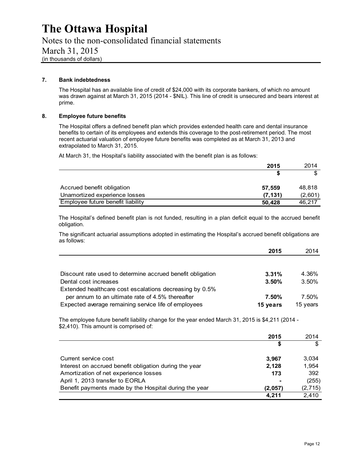Notes to the non-consolidated financial statements March 31, 2015 (in thousands of dollars)

#### **7. Bank indebtedness**

The Hospital has an available line of credit of \$24,000 with its corporate bankers, of which no amount was drawn against at March 31, 2015 (2014 - \$NIL). This line of credit is unsecured and bears interest at prime.

#### **8. Employee future benefits**

The Hospital offers a defined benefit plan which provides extended health care and dental insurance benefits to certain of its employees and extends this coverage to the post-retirement period. The most recent actuarial valuation of employee future benefits was completed as at March 31, 2013 and extrapolated to March 31, 2015.

At March 31, the Hospital's liability associated with the benefit plan is as follows:

|                                   | 2015    | 2014    |
|-----------------------------------|---------|---------|
|                                   |         |         |
| Accrued benefit obligation        | 57.559  | 48.818  |
| Unamortized experience losses     | (7.131) | (2,601) |
| Employee future benefit liability | 50,428  | 46.217  |

The Hospital's defined benefit plan is not funded, resulting in a plan deficit equal to the accrued benefit obligation.

The significant actuarial assumptions adopted in estimating the Hospital's accrued benefit obligations are as follows:

|                                                            | 2015     | 2014     |
|------------------------------------------------------------|----------|----------|
|                                                            |          |          |
| Discount rate used to determine accrued benefit obligation | 3.31%    | 4.36%    |
| Dental cost increases                                      | 3.50%    | 3.50%    |
| Extended healthcare cost escalations decreasing by 0.5%    |          |          |
| per annum to an ultimate rate of 4.5% thereafter           | 7.50%    | 7.50%    |
| Expected average remaining service life of employees       | 15 years | 15 years |

The employee future benefit liability change for the year ended March 31, 2015 is \$4,211 (2014 - \$2,410). This amount is comprised of:

|                                                        | 2015    | 2014     |
|--------------------------------------------------------|---------|----------|
|                                                        | \$      | S        |
| Current service cost                                   | 3,967   | 3,034    |
| Interest on accrued benefit obligation during the year | 2.128   | 1,954    |
| Amortization of net experience losses                  | 173     | 392      |
| April 1, 2013 transfer to EORLA                        |         | (255)    |
| Benefit payments made by the Hospital during the year  | (2.057) | (2, 715) |
|                                                        | 4.211   | 2,410    |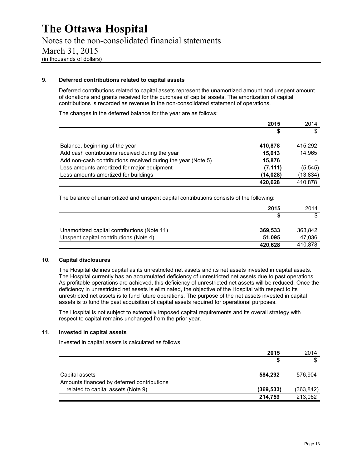#### **9. Deferred contributions related to capital assets**

Deferred contributions related to capital assets represent the unamortized amount and unspent amount of donations and grants received for the purchase of capital assets. The amortization of capital contributions is recorded as revenue in the non-consolidated statement of operations.

The changes in the deferred balance for the year are as follows:

|                                                              | 2015      | 2014      |
|--------------------------------------------------------------|-----------|-----------|
|                                                              | S         | \$        |
| Balance, beginning of the year                               | 410,878   | 415.292   |
| Add cash contributions received during the year              | 15,013    | 14,965    |
| Add non-cash contributions received during the year (Note 5) | 15,876    |           |
| Less amounts amortized for major equipment                   | (7, 111)  | (5, 545)  |
| Less amounts amortized for buildings                         | (14, 028) | (13, 834) |
|                                                              | 420,628   | 410.878   |

The balance of unamortized and unspent capital contributions consists of the following:

|                                             | 2015    | 2014    |
|---------------------------------------------|---------|---------|
|                                             |         | \$      |
| Unamortized capital contributions (Note 11) | 369,533 | 363.842 |
| Unspent capital contributions (Note 4)      | 51.095  | 47,036  |
|                                             | 420,628 | 410,878 |

#### **10. Capital disclosures**

The Hospital defines capital as its unrestricted net assets and its net assets invested in capital assets. The Hospital currently has an accumulated deficiency of unrestricted net assets due to past operations. As profitable operations are achieved, this deficiency of unrestricted net assets will be reduced. Once the deficiency in unrestricted net assets is eliminated, the objective of the Hospital with respect to its unrestricted net assets is to fund future operations. The purpose of the net assets invested in capital assets is to fund the past acquisition of capital assets required for operational purposes.

The Hospital is not subject to externally imposed capital requirements and its overall strategy with respect to capital remains unchanged from the prior year.

#### **11. Invested in capital assets**

Invested in capital assets is calculated as follows:

|                                                              | 2015      | 2014       |
|--------------------------------------------------------------|-----------|------------|
|                                                              |           | \$         |
| Capital assets<br>Amounts financed by deferred contributions | 584,292   | 576.904    |
| related to capital assets (Note 9)                           | (369,533) | (363, 842) |
|                                                              | 214,759   | 213,062    |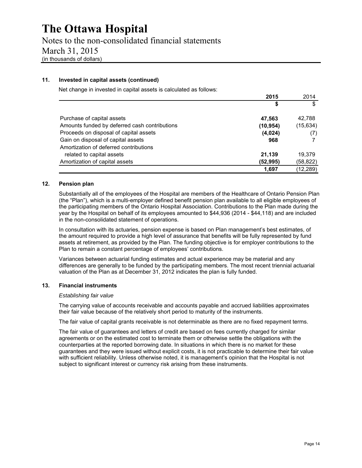Notes to the non-consolidated financial statements March 31, 2015 (in thousands of dollars)

#### **11. Invested in capital assets (continued)**

Net change in invested in capital assets is calculated as follows:

|                                               | 2015      | 2014     |
|-----------------------------------------------|-----------|----------|
|                                               | \$        | S        |
| Purchase of capital assets                    | 47,563    | 42.788   |
| Amounts funded by deferred cash contributions | (10, 954) | (15,634) |
| Proceeds on disposal of capital assets        | (4,024)   | (7)      |
| Gain on disposal of capital assets            | 968       |          |
| Amortization of deferred contributions        |           |          |
| related to capital assets                     | 21,139    | 19.379   |
| Amortization of capital assets                | (52, 995) | (58,822) |
|                                               | 1,697     | (12,289) |

#### **12. Pension plan**

Substantially all of the employees of the Hospital are members of the Healthcare of Ontario Pension Plan (the "Plan"), which is a multi-employer defined benefit pension plan available to all eligible employees of the participating members of the Ontario Hospital Association. Contributions to the Plan made during the year by the Hospital on behalf of its employees amounted to \$44,936 (2014 - \$44,118) and are included in the non-consolidated statement of operations.

In consultation with its actuaries, pension expense is based on Plan management's best estimates, of the amount required to provide a high level of assurance that benefits will be fully represented by fund assets at retirement, as provided by the Plan. The funding objective is for employer contributions to the Plan to remain a constant percentage of employees' contributions.

Variances between actuarial funding estimates and actual experience may be material and any differences are generally to be funded by the participating members. The most recent triennial actuarial valuation of the Plan as at December 31, 2012 indicates the plan is fully funded.

#### **13. Financial instruments**

#### *Establishing fair value*

The carrying value of accounts receivable and accounts payable and accrued liabilities approximates their fair value because of the relatively short period to maturity of the instruments.

The fair value of capital grants receivable is not determinable as there are no fixed repayment terms.

The fair value of guarantees and letters of credit are based on fees currently charged for similar agreements or on the estimated cost to terminate them or otherwise settle the obligations with the counterparties at the reported borrowing date. In situations in which there is no market for these guarantees and they were issued without explicit costs, it is not practicable to determine their fair value with sufficient reliability. Unless otherwise noted, it is management's opinion that the Hospital is not subject to significant interest or currency risk arising from these instruments.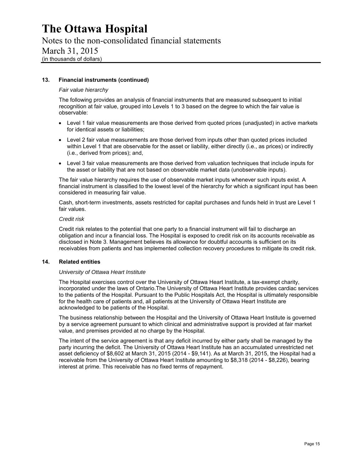Notes to the non-consolidated financial statements March 31, 2015 (in thousands of dollars)

#### **13. Financial instruments (continued)**

#### *Fair value hierarchy*

The following provides an analysis of financial instruments that are measured subsequent to initial recognition at fair value, grouped into Levels 1 to 3 based on the degree to which the fair value is observable:

- Level 1 fair value measurements are those derived from quoted prices (unadjusted) in active markets for identical assets or liabilities;
- Level 2 fair value measurements are those derived from inputs other than quoted prices included within Level 1 that are observable for the asset or liability, either directly (i.e., as prices) or indirectly (i.e., derived from prices); and,
- Level 3 fair value measurements are those derived from valuation techniques that include inputs for the asset or liability that are not based on observable market data (unobservable inputs).

The fair value hierarchy requires the use of observable market inputs whenever such inputs exist. A financial instrument is classified to the lowest level of the hierarchy for which a significant input has been considered in measuring fair value.

Cash, short-term investments, assets restricted for capital purchases and funds held in trust are Level 1 fair values.

#### *Credit risk*

Credit risk relates to the potential that one party to a financial instrument will fail to discharge an obligation and incur a financial loss. The Hospital is exposed to credit risk on its accounts receivable as disclosed in Note 3. Management believes its allowance for doubtful accounts is sufficient on its receivables from patients and has implemented collection recovery procedures to mitigate its credit risk.

#### **14. Related entities**

#### *University of Ottawa Heart Institute*

The Hospital exercises control over the University of Ottawa Heart Institute, a tax-exempt charity, incorporated under the laws of Ontario.The University of Ottawa Heart Institute provides cardiac services to the patients of the Hospital. Pursuant to the Public Hospitals Act, the Hospital is ultimately responsible for the health care of patients and, all patients at the University of Ottawa Heart Institute are acknowledged to be patients of the Hospital.

The business relationship between the Hospital and the University of Ottawa Heart Institute is governed by a service agreement pursuant to which clinical and administrative support is provided at fair market value, and premises provided at no charge by the Hospital.

The intent of the service agreement is that any deficit incurred by either party shall be managed by the party incurring the deficit. The University of Ottawa Heart Institute has an accumulated unrestricted net asset deficiency of \$8,602 at March 31, 2015 (2014 - \$9,141). As at March 31, 2015, the Hospital had a receivable from the University of Ottawa Heart Institute amounting to \$8,318 (2014 - \$8,226), bearing interest at prime. This receivable has no fixed terms of repayment.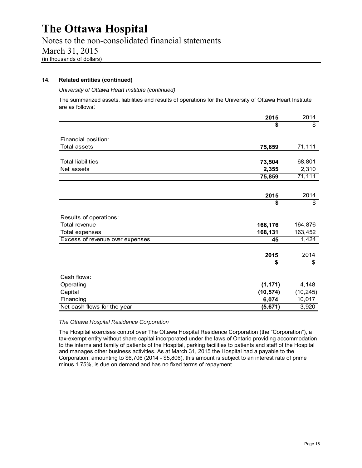Notes to the non-consolidated financial statements March 31, 2015 (in thousands of dollars)

#### **14. Related entities (continued)**

#### *University of Ottawa Heart Institute (continued)*

The summarized assets, liabilities and results of operations for the University of Ottawa Heart Institute are as follows:

|                                 | 2015      | 2014      |
|---------------------------------|-----------|-----------|
|                                 | \$        | \$        |
| Financial position:             |           |           |
| <b>Total assets</b>             |           | 71,111    |
|                                 | 75,859    |           |
| <b>Total liabilities</b>        | 73,504    | 68,801    |
| Net assets                      | 2,355     | 2,310     |
|                                 | 75,859    | 71,111    |
|                                 |           |           |
|                                 |           |           |
|                                 | 2015      | 2014      |
|                                 | \$        | \$        |
| Results of operations:          |           |           |
| Total revenue                   | 168,176   | 164,876   |
| <b>Total expenses</b>           | 168,131   | 163,452   |
| Excess of revenue over expenses | 45        | 1,424     |
|                                 | 2015      | 2014      |
|                                 | \$        | \$        |
|                                 |           |           |
| Cash flows:                     |           |           |
| Operating                       | (1, 171)  | 4,148     |
| Capital                         | (10, 574) | (10, 245) |
| Financing                       | 6,074     | 10,017    |
| Net cash flows for the year     | (5,671)   | 3,920     |

#### *The Ottawa Hospital Residence Corporation*

The Hospital exercises control over The Ottawa Hospital Residence Corporation (the "Corporation"), a tax-exempt entity without share capital incorporated under the laws of Ontario providing accommodation to the interns and family of patients of the Hospital, parking facilities to patients and staff of the Hospital and manages other business activities. As at March 31, 2015 the Hospital had a payable to the Corporation, amounting to \$6,706 (2014 - \$5,806), this amount is subject to an interest rate of prime minus 1.75%, is due on demand and has no fixed terms of repayment.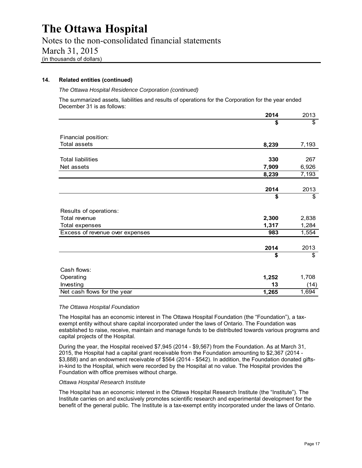Notes to the non-consolidated financial statements March 31, 2015 (in thousands of dollars)

#### **14. Related entities (continued)**

#### *The Ottawa Hospital Residence Corporation (continued)*

The summarized assets, liabilities and results of operations for the Corporation for the year ended December 31 is as follows:

|                                 | 2014  | 2013  |
|---------------------------------|-------|-------|
|                                 | \$    | \$    |
| Financial position:             |       |       |
| <b>Total assets</b>             | 8,239 | 7,193 |
|                                 |       |       |
| <b>Total liabilities</b>        | 330   | 267   |
| Net assets                      | 7,909 | 6,926 |
|                                 | 8,239 | 7,193 |
|                                 |       |       |
|                                 | 2014  | 2013  |
|                                 | \$    | \$    |
| Results of operations:          |       |       |
| Total revenue                   | 2,300 | 2,838 |
| Total expenses                  | 1,317 | 1,284 |
| Excess of revenue over expenses | 983   | 1,554 |
|                                 | 2014  | 2013  |
|                                 | \$    | \$    |
| Cash flows:                     |       |       |
| Operating                       | 1,252 | 1,708 |
| Investing                       | 13    | (14)  |
| Net cash flows for the year     | 1,265 | 1,694 |

#### *The Ottawa Hospital Foundation*

The Hospital has an economic interest in The Ottawa Hospital Foundation (the "Foundation"), a taxexempt entity without share capital incorporated under the laws of Ontario. The Foundation was established to raise, receive, maintain and manage funds to be distributed towards various programs and capital projects of the Hospital.

During the year, the Hospital received \$7,945 (2014 - \$9,567) from the Foundation. As at March 31, 2015, the Hospital had a capital grant receivable from the Foundation amounting to \$2,367 (2014 - \$3,888) and an endowment receivable of \$564 (2014 - \$542). In addition, the Foundation donated giftsin-kind to the Hospital, which were recorded by the Hospital at no value. The Hospital provides the Foundation with office premises without charge.

#### *Ottawa Hospital Research Institute*

The Hospital has an economic interest in the Ottawa Hospital Research Institute (the "Institute"). The Institute carries on and exclusively promotes scientific research and experimental development for the benefit of the general public. The Institute is a tax-exempt entity incorporated under the laws of Ontario.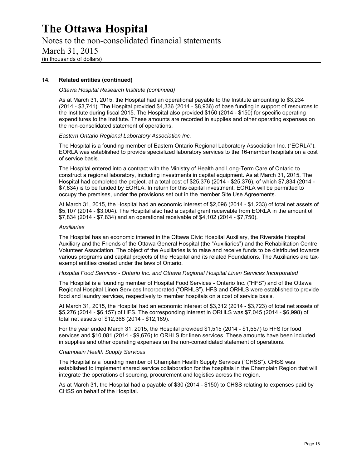Notes to the non-consolidated financial statements March 31, 2015 (in thousands of dollars)

#### **14. Related entities (continued)**

#### *Ottawa Hospital Research Institute (continued)*

As at March 31, 2015, the Hospital had an operational payable to the Institute amounting to \$3,234 (2014 - \$3,741). The Hospital provided \$4,336 (2014 - \$8,936) of base funding in support of resources to the Institute during fiscal 2015. The Hospital also provided \$150 (2014 - \$150) for specific operating expenditures to the Institute. These amounts are recorded in supplies and other operating expenses on the non-consolidated statement of operations.

*Eastern Ontario Regional Laboratory Association Inc.*

The Hospital is a founding member of Eastern Ontario Regional Laboratory Association Inc. ("EORLA"). EORLA was established to provide specialized laboratory services to the 16-member hospitals on a cost of service basis.

The Hospital entered into a contract with the Ministry of Health and Long-Term Care of Ontario to construct a regional laboratory, including investments in capital equipment. As at March 31, 2015, The Hospital had completed the project, at a total cost of \$25,376 (2014 - \$25,376), of which \$7,834 (2014 - \$7,834) is to be funded by EORLA. In return for this capital investment, EORLA will be permitted to occupy the premises, under the provisions set out in the member Site Use Agreements.

At March 31, 2015, the Hospital had an economic interest of \$2,096 (2014 - \$1,233) of total net assets of \$5,107 (2014 - \$3,004). The Hospital also had a capital grant receivable from EORLA in the amount of \$7,834 (2014 - \$7,834) and an operational receivable of \$4,102 (2014 - \$7,750).

#### *Auxiliaries*

The Hospital has an economic interest in the Ottawa Civic Hospital Auxiliary, the Riverside Hospital Auxiliary and the Friends of the Ottawa General Hospital (the "Auxiliaries") and the Rehabilitation Centre Volunteer Association. The object of the Auxiliaries is to raise and receive funds to be distributed towards various programs and capital projects of the Hospital and its related Foundations. The Auxiliaries are taxexempt entities created under the laws of Ontario.

#### *Hospital Food Services - Ontario Inc. and Ottawa Regional Hospital Linen Services Incorporated*

The Hospital is a founding member of Hospital Food Services - Ontario Inc. ("HFS") and of the Ottawa Regional Hospital Linen Services Incorporated ("ORHLS"). HFS and ORHLS were established to provide food and laundry services, respectively to member hospitals on a cost of service basis.

At March 31, 2015, the Hospital had an economic interest of \$3,312 (2014 - \$3,723) of total net assets of \$5,276 (2014 - \$6,157) of HFS. The corresponding interest in ORHLS was \$7,045 (2014 - \$6,998) of total net assets of \$12,368 (2014 - \$12,189).

For the year ended March 31, 2015, the Hospital provided \$1,515 (2014 - \$1,557) to HFS for food services and \$10,081 (2014 - \$9,676) to ORHLS for linen services. These amounts have been included in supplies and other operating expenses on the non-consolidated statement of operations.

#### *Champlain Health Supply Services*

The Hospital is a founding member of Champlain Health Supply Services ("CHSS"). CHSS was established to implement shared service collaboration for the hospitals in the Champlain Region that will integrate the operations of sourcing, procurement and logistics across the region.

As at March 31, the Hospital had a payable of \$30 (2014 - \$150) to CHSS relating to expenses paid by CHSS on behalf of the Hospital.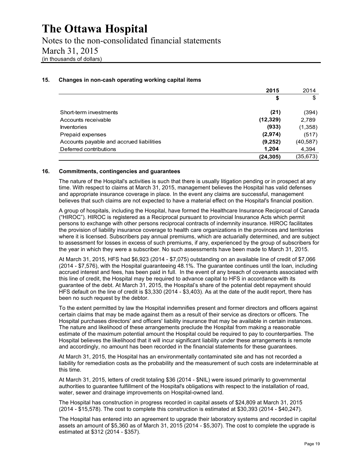Notes to the non-consolidated financial statements March 31, 2015 (in thousands of dollars)

#### **15. Changes in non-cash operating working capital items**

|                                          | 2015      | 2014      |
|------------------------------------------|-----------|-----------|
|                                          | \$        | \$        |
| Short-term investments                   | (21)      | (394)     |
| Accounts receivable                      | (12, 329) | 2,789     |
| <b>Inventories</b>                       | (933)     | (1,358)   |
| Prepaid expenses                         | (2,974)   | (517)     |
| Accounts payable and accrued liabilities | (9,252)   | (40, 587) |
| Deferred contributions                   | 1,204     | 4,394     |
|                                          | (24, 305) | (35, 673) |

#### **16. Commitments, contingencies and guarantees**

The nature of the Hospital's activities is such that there is usually litigation pending or in prospect at any time. With respect to claims at March 31, 2015, management believes the Hospital has valid defenses and appropriate insurance coverage in place. In the event any claims are successful, management believes that such claims are not expected to have a material effect on the Hospital's financial position.

A group of hospitals, including the Hospital, have formed the Healthcare Insurance Reciprocal of Canada ("HIROC"). HIROC is registered as a Reciprocal pursuant to provincial Insurance Acts which permit persons to exchange with other persons reciprocal contracts of indemnity insurance. HIROC facilitates the provision of liability insurance coverage to health care organizations in the provinces and territories where it is licensed. Subscribers pay annual premiums, which are actuarially determined, and are subject to assessment for losses in excess of such premiums, if any, experienced by the group of subscribers for the year in which they were a subscriber. No such assessments have been made to March 31, 2015.

At March 31, 2015, HFS had \$6,923 (2014 - \$7,075) outstanding on an available line of credit of \$7,066 (2014 - \$7,576), with the Hospital guaranteeing 48.1%. The guarantee continues until the loan, including accrued interest and fees, has been paid in full. In the event of any breach of covenants associated with this line of credit, the Hospital may be required to advance capital to HFS in accordance with its guarantee of the debt. At March 31, 2015, the Hospital's share of the potential debt repayment should HFS default on the line of credit is \$3,330 (2014 - \$3,403). As at the date of the audit report, there has been no such request by the debtor.

To the extent permitted by law the Hospital indemnifies present and former directors and officers against certain claims that may be made against them as a result of their service as directors or officers. The Hospital purchases directors' and officers' liability insurance that may be available in certain instances. The nature and likelihood of these arrangements preclude the Hospital from making a reasonable estimate of the maximum potential amount the Hospital could be required to pay to counterparties. The Hospital believes the likelihood that it will incur significant liability under these arrangements is remote and accordingly, no amount has been recorded in the financial statements for these guarantees.

At March 31, 2015, the Hospital has an environmentally contaminated site and has not recorded a liability for remediation costs as the probability and the measurement of such costs are indeterminable at this time.

At March 31, 2015, letters of credit totaling \$36 (2014 - \$NIL) were issued primarily to governmental authorities to guarantee fulfillment of the Hospital's obligations with respect to the installation of road, water, sewer and drainage improvements on Hospital-owned land.

The Hospital has construction in progress recorded in capital assets of \$24,809 at March 31, 2015 (2014 - \$15,578). The cost to complete this construction is estimated at \$30,393 (2014 - \$40,247).

The Hospital has entered into an agreement to upgrade their laboratory systems and recorded in capital assets an amount of \$5,360 as of March 31, 2015 (2014 - \$5,307). The cost to complete the upgrade is estimated at \$312 (2014 - \$357).